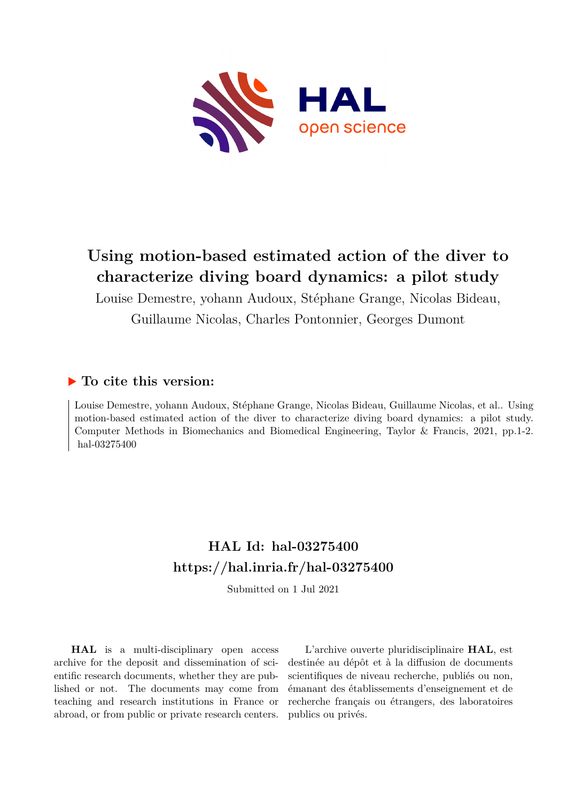

# **Using motion-based estimated action of the diver to characterize diving board dynamics: a pilot study**

Louise Demestre, yohann Audoux, Stéphane Grange, Nicolas Bideau, Guillaume Nicolas, Charles Pontonnier, Georges Dumont

## **To cite this version:**

Louise Demestre, yohann Audoux, Stéphane Grange, Nicolas Bideau, Guillaume Nicolas, et al.. Using motion-based estimated action of the diver to characterize diving board dynamics: a pilot study. Computer Methods in Biomechanics and Biomedical Engineering, Taylor & Francis, 2021, pp.1-2. hal-03275400

## **HAL Id: hal-03275400 <https://hal.inria.fr/hal-03275400>**

Submitted on 1 Jul 2021

**HAL** is a multi-disciplinary open access archive for the deposit and dissemination of scientific research documents, whether they are published or not. The documents may come from teaching and research institutions in France or abroad, or from public or private research centers.

L'archive ouverte pluridisciplinaire **HAL**, est destinée au dépôt et à la diffusion de documents scientifiques de niveau recherche, publiés ou non, émanant des établissements d'enseignement et de recherche français ou étrangers, des laboratoires publics ou privés.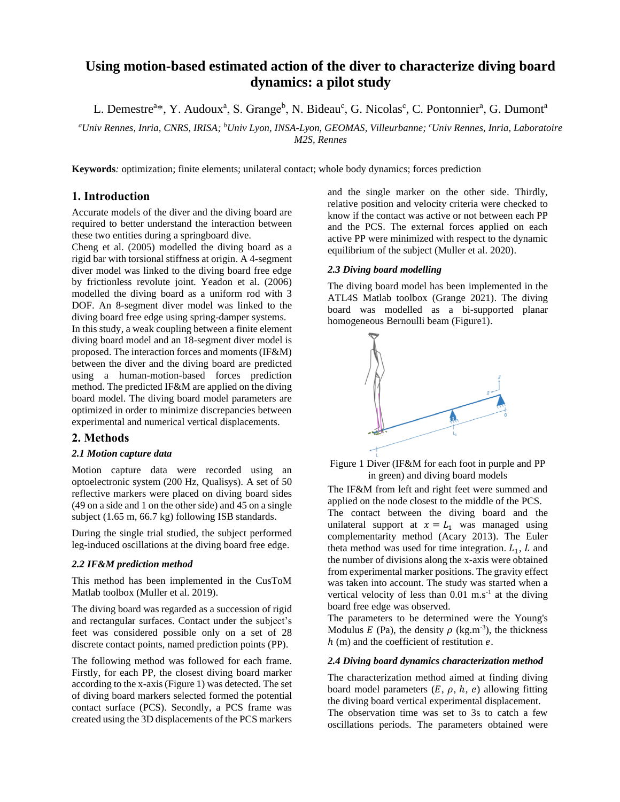## **Using motion-based estimated action of the diver to characterize diving board dynamics: a pilot study**

L. Demestre<sup>a\*</sup>, Y. Audoux<sup>a</sup>, S. Grange<sup>b</sup>, N. Bideau<sup>c</sup>, G. Nicolas<sup>c</sup>, C. Pontonnier<sup>a</sup>, G. Dumont<sup>a</sup>

*<sup>a</sup>Univ Rennes, Inria, CNRS, IRISA; <sup>b</sup>Univ Lyon, INSA-Lyon, GEOMAS, Villeurbanne; <sup>c</sup>Univ Rennes, Inria, Laboratoire M2S, Rennes*

**Keywords***:* optimization; finite elements; unilateral contact; whole body dynamics; forces prediction

#### **1. Introduction**

Accurate models of the diver and the diving board are required to better understand the interaction between these two entities during a springboard dive.

Cheng et al. (2005) modelled the diving board as a rigid bar with torsional stiffness at origin. A 4-segment diver model was linked to the diving board free edge by frictionless revolute joint. Yeadon et al. (2006) modelled the diving board as a uniform rod with 3 DOF. An 8-segment diver model was linked to the diving board free edge using spring-damper systems.

In this study, a weak coupling between a finite element diving board model and an 18-segment diver model is proposed. The interaction forces and moments (IF&M) between the diver and the diving board are predicted using a human-motion-based forces prediction method. The predicted IF&M are applied on the diving board model. The diving board model parameters are optimized in order to minimize discrepancies between experimental and numerical vertical displacements.

#### **2. Methods**

#### *2.1 Motion capture data*

Motion capture data were recorded using an optoelectronic system (200 Hz, Qualisys). A set of 50 reflective markers were placed on diving board sides (49 on a side and 1 on the other side) and 45 on a single subject (1.65 m, 66.7 kg) following ISB standards.

During the single trial studied, the subject performed leg-induced oscillations at the diving board free edge.

#### *2.2 IF&M prediction method*

This method has been implemented in the CusToM Matlab toolbox (Muller et al. 2019).

The diving board was regarded as a succession of rigid and rectangular surfaces. Contact under the subject's feet was considered possible only on a set of 28 discrete contact points, named prediction points (PP).

The following method was followed for each frame. Firstly, for each PP, the closest diving board marker according to the x-axis(Figure 1) was detected. The set of diving board markers selected formed the potential contact surface (PCS). Secondly, a PCS frame was created using the 3D displacements of the PCS markers

and the single marker on the other side. Thirdly, relative position and velocity criteria were checked to know if the contact was active or not between each PP and the PCS. The external forces applied on each active PP were minimized with respect to the dynamic equilibrium of the subject (Muller et al. 2020).

#### *2.3 Diving board modelling*

The diving board model has been implemented in the ATL4S Matlab toolbox (Grange 2021). The diving board was modelled as a bi-supported planar homogeneous Bernoulli beam (Figure1).



Figure 1 Diver (IF&M for each foot in purple and PP in green) and diving board models

The IF&M from left and right feet were summed and applied on the node closest to the middle of the PCS. The contact between the diving board and the unilateral support at  $x = L_1$  was managed using complementarity method (Acary 2013). The Euler theta method was used for time integration.  $L_1$ , L and the number of divisions along the x-axis were obtained from experimental marker positions. The gravity effect was taken into account. The study was started when a vertical velocity of less than  $0.01$  m.s<sup>-1</sup> at the diving board free edge was observed.

The parameters to be determined were the Young's Modulus  $E$  (Pa), the density  $\rho$  (kg.m<sup>-3</sup>), the thickness  $h$  (m) and the coefficient of restitution  $e$ .

#### *2.4 Diving board dynamics characterization method*

The characterization method aimed at finding diving board model parameters  $(E, \rho, h, e)$  allowing fitting the diving board vertical experimental displacement. The observation time was set to 3s to catch a few oscillations periods. The parameters obtained were